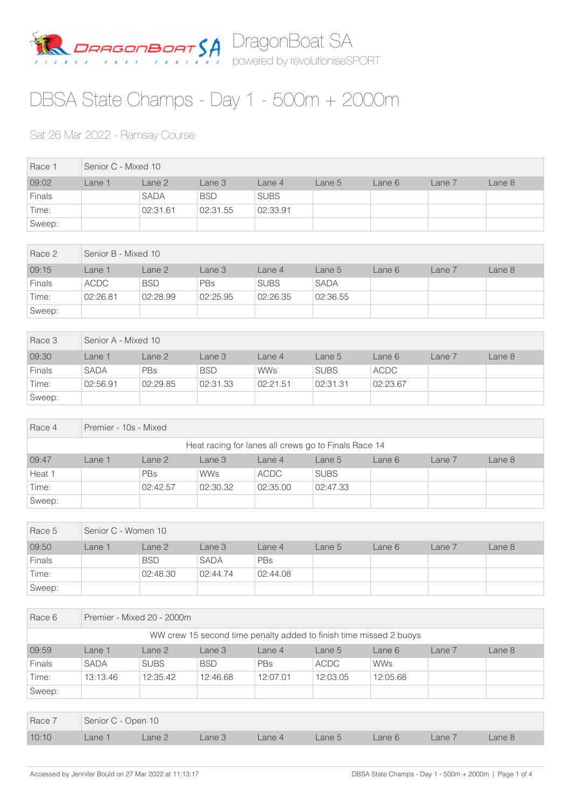

## DBSA State Champs - Day 1 - 500m + 2000m

## Sat 26 Mar 2022 - Ramsay Course

| Race 1        | Senior C - Mixed 10 |             |            |             |        |        |        |        |  |
|---------------|---------------------|-------------|------------|-------------|--------|--------|--------|--------|--|
| 09:02         | Lane 1              | Lane 2      | Lane 3     | Lane 4      | Lane 5 | Lane 6 | Lane 7 | Lane 8 |  |
| <b>Finals</b> |                     | <b>SADA</b> | <b>BSD</b> | <b>SUBS</b> |        |        |        |        |  |
| Time:         |                     | 02:31.61    | 02:31.55   | 02:33.91    |        |        |        |        |  |
| Sweep:        |                     |             |            |             |        |        |        |        |  |

| Race 2        | Senior B - Mixed 10 |            |            |             |             |        |        |        |  |
|---------------|---------------------|------------|------------|-------------|-------------|--------|--------|--------|--|
| 09:15         | Lane 1              | Lane 2     | Lane 3     | Lane 4      | Lane 5      | Lane 6 | Lane 7 | Lane 8 |  |
| <b>Finals</b> | ACDC                | <b>BSD</b> | <b>PBs</b> | <b>SUBS</b> | <b>SADA</b> |        |        |        |  |
| Time:         | 02:26.81            | 02:28.99   | 02:25.95   | 02:26.35    | 02:36.55    |        |        |        |  |
| Sweep:        |                     |            |            |             |             |        |        |        |  |

| Race 3        | Senior A - Mixed 10 |            |            |            |             |             |        |        |  |
|---------------|---------------------|------------|------------|------------|-------------|-------------|--------|--------|--|
| 09:30         | Lane 1              | Lane 2     | Lane 3     | Lane 4     | Lane 5      | Lane 6      | Lane 7 | Lane 8 |  |
| <b>Finals</b> | <b>SADA</b>         | <b>PBs</b> | <b>BSD</b> | <b>WWs</b> | <b>SUBS</b> | <b>ACDC</b> |        |        |  |
| Time:         | 02:56.91            | 02:29.85   | 02:31.33   | 02:21.51   | 02:31.31    | 02:23.67    |        |        |  |
| Sweep:        |                     |            |            |            |             |             |        |        |  |

| Race 4 | Premier - 10s - Mixed                                |            |            |             |             |        |        |        |  |  |
|--------|------------------------------------------------------|------------|------------|-------------|-------------|--------|--------|--------|--|--|
|        | Heat racing for lanes all crews go to Finals Race 14 |            |            |             |             |        |        |        |  |  |
| 09:47  | Lane 1                                               | Lane 2     | Lane 3     | Lane 4      | Lane 5      | Lane 6 | Lane 7 | Lane 8 |  |  |
| Heat 1 |                                                      | <b>PBs</b> | <b>WWs</b> | <b>ACDC</b> | <b>SUBS</b> |        |        |        |  |  |
| Time:  |                                                      | 02:42.57   | 02:30.32   | 02:35.00    | 02:47.33    |        |        |        |  |  |
| Sweep: |                                                      |            |            |             |             |        |        |        |  |  |

| Race 5        | Senior C - Women 10 |            |             |          |        |        |        |        |  |
|---------------|---------------------|------------|-------------|----------|--------|--------|--------|--------|--|
| 09:50         | Lane 1              | Lane 2     | Lane 3      | Lane 4   | Lane 5 | Lane 6 | Lane 7 | Lane 8 |  |
| <b>Finals</b> |                     | <b>BSD</b> | <b>SADA</b> | PBs      |        |        |        |        |  |
| Time:         |                     | 02:48.30   | 02:44.74    | 02:44.08 |        |        |        |        |  |
| Sweep:        |                     |            |             |          |        |        |        |        |  |

| Race 6                                                             | Premier - Mixed 20 - 2000m |                                                                                 |            |          |             |            |  |  |  |  |  |
|--------------------------------------------------------------------|----------------------------|---------------------------------------------------------------------------------|------------|----------|-------------|------------|--|--|--|--|--|
| WW crew 15 second time penalty added to finish time missed 2 buoys |                            |                                                                                 |            |          |             |            |  |  |  |  |  |
| 09:59                                                              | Lane 1                     | Lane <sub>3</sub><br>Lane 8<br>Lane 2<br>Lane 6<br>Lane 7<br>Lane 5<br>Lane $4$ |            |          |             |            |  |  |  |  |  |
| Finals                                                             | <b>SADA</b>                | <b>SUBS</b>                                                                     | <b>BSD</b> | PBs      | <b>ACDC</b> | <b>WWs</b> |  |  |  |  |  |
| Time:                                                              | 13:13.46                   | 12:35.42                                                                        | 12:46.68   | 12:07.01 | 12:03.05    | 12:05.68   |  |  |  |  |  |
| Sweep:                                                             |                            |                                                                                 |            |          |             |            |  |  |  |  |  |

|       | Race 7 Senior C - Open 10 |               |        |  |                      |  |        |        |  |
|-------|---------------------------|---------------|--------|--|----------------------|--|--------|--------|--|
| 10:10 | Lane 1                    | $\Box$ Lane 2 | Lane 3 |  | Lane 4 Lane 5 Lane 6 |  | Lane 7 | Lane 8 |  |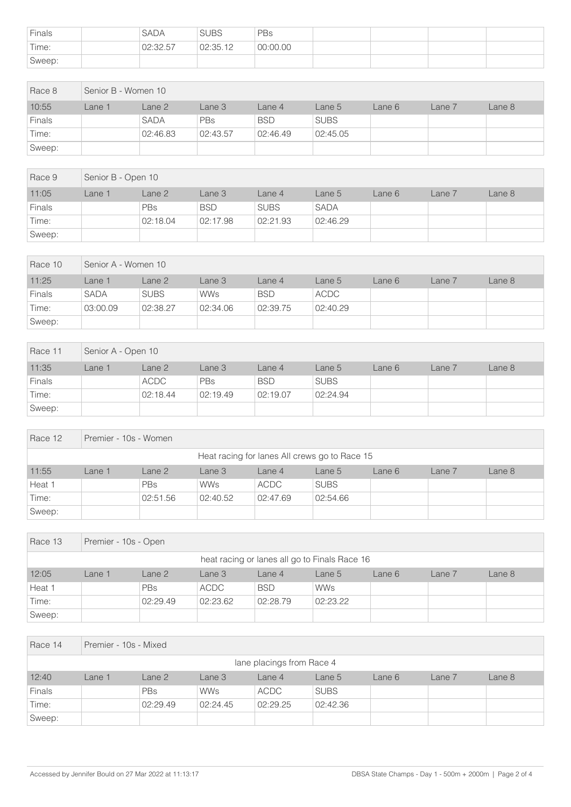| Finals | <b>SADA</b> | <b>SUBS</b> | PBs      |  |  |
|--------|-------------|-------------|----------|--|--|
| Time:  | 02:32.57    | 02:35.12    | 00:00.00 |  |  |
| Sweep: |             |             |          |  |  |

| Race 8        | Senior B - Women 10 |             |            |            |             |        |        |        |  |
|---------------|---------------------|-------------|------------|------------|-------------|--------|--------|--------|--|
| 10:55         | Lane 1              | Lane 2      | Lane 3     | Lane 4     | Lane 5      | Lane 6 | Lane 7 | Lane 8 |  |
| <b>Finals</b> |                     | <b>SADA</b> | <b>PBs</b> | <b>BSD</b> | <b>SUBS</b> |        |        |        |  |
| Time:         |                     | 02:46.83    | 02:43.57   | 02:46.49   | 02:45.05    |        |        |        |  |
| Sweep:        |                     |             |            |            |             |        |        |        |  |

| Race 9        | Senior B - Open 10 |            |            |             |             |        |        |        |  |
|---------------|--------------------|------------|------------|-------------|-------------|--------|--------|--------|--|
| 11:05         | Lane 1             | Lane 2     | Lane 3     | Lane 4      | Lane 5      | Lane 6 | Lane 7 | Lane 8 |  |
| <b>Finals</b> |                    | <b>PBs</b> | <b>BSD</b> | <b>SUBS</b> | <b>SADA</b> |        |        |        |  |
| Time:         |                    | 02:18.04   | 02:17.98   | 02:21.93    | 02:46.29    |        |        |        |  |
| Sweep:        |                    |            |            |             |             |        |        |        |  |

| Race 10 | Senior A - Women 10 |             |            |            |          |        |        |        |  |
|---------|---------------------|-------------|------------|------------|----------|--------|--------|--------|--|
| 11:25   | ane 1               | Lane 2      | Lane 3     | Lane 4     | Lane 5   | Lane 6 | Lane 7 | Lane 8 |  |
| Finals  | <b>SADA</b>         | <b>SUBS</b> | <b>WWs</b> | <b>BSD</b> | ACDC     |        |        |        |  |
| Time:   | 03:00.09            | 02:38.27    | 02:34.06   | 02:39.75   | 02:40.29 |        |        |        |  |
| Sweep:  |                     |             |            |            |          |        |        |        |  |

| Race 11       | Senior A - Open 10 |             |            |            |             |        |        |        |  |
|---------------|--------------------|-------------|------------|------------|-------------|--------|--------|--------|--|
| 11:35         | _ane 1             | Lane 2      | Lane 3     | Lane 4     | Lane 5      | Lane 6 | Lane 7 | Lane 8 |  |
| <b>Finals</b> |                    | <b>ACDC</b> | <b>PBs</b> | <b>BSD</b> | <b>SUBS</b> |        |        |        |  |
| Time:         |                    | 02:18.44    | 02:19.49   | 02:19.07   | 02:24.94    |        |        |        |  |
| Sweep:        |                    |             |            |            |             |        |        |        |  |

| Race 12 | Premier - 10s - Women                         |            |            |             |             |        |        |        |  |  |
|---------|-----------------------------------------------|------------|------------|-------------|-------------|--------|--------|--------|--|--|
|         | Heat racing for lanes All crews go to Race 15 |            |            |             |             |        |        |        |  |  |
| 11:55   | Lane 1                                        | Lane 2     | Lane 3     | Lane 4      | Lane 5      | Lane 6 | Lane 7 | Lane 8 |  |  |
| Heat 1  |                                               | <b>PBs</b> | <b>WWs</b> | <b>ACDC</b> | <b>SUBS</b> |        |        |        |  |  |
| Time:   |                                               | 02:51.56   | 02:40.52   | 02:47.69    | 02:54.66    |        |        |        |  |  |
| Sweep:  |                                               |            |            |             |             |        |        |        |  |  |

| Race 13 | Premier - 10s - Open |            |                                               |            |            |        |        |        |  |  |
|---------|----------------------|------------|-----------------------------------------------|------------|------------|--------|--------|--------|--|--|
|         |                      |            | heat racing or lanes all go to Finals Race 16 |            |            |        |        |        |  |  |
| 12:05   | Lane 1               | Lane 2     | Lane 3                                        | Lane 4     | Lane 5     | Lane 6 | Lane 7 | Lane 8 |  |  |
| Heat 1  |                      | <b>PBs</b> | ACDC                                          | <b>BSD</b> | <b>WWs</b> |        |        |        |  |  |
| Time:   |                      | 02:29.49   | 02:23.62                                      | 02:28.79   | 02:23.22   |        |        |        |  |  |
| Sweep:  |                      |            |                                               |            |            |        |        |        |  |  |

| Race 14                   | Premier - 10s - Mixed |          |            |             |             |        |        |        |  |  |
|---------------------------|-----------------------|----------|------------|-------------|-------------|--------|--------|--------|--|--|
| lane placings from Race 4 |                       |          |            |             |             |        |        |        |  |  |
| 12:40                     | Lane 1                | Lane 2   | Lane 3     | Lane 4      | Lane 5      | Lane 6 | Lane 7 | Lane 8 |  |  |
| Finals                    |                       | PBs      | <b>WWs</b> | <b>ACDC</b> | <b>SUBS</b> |        |        |        |  |  |
| Time:                     |                       | 02:29.49 | 02:24.45   | 02:29.25    | 02:42.36    |        |        |        |  |  |
| Sweep:                    |                       |          |            |             |             |        |        |        |  |  |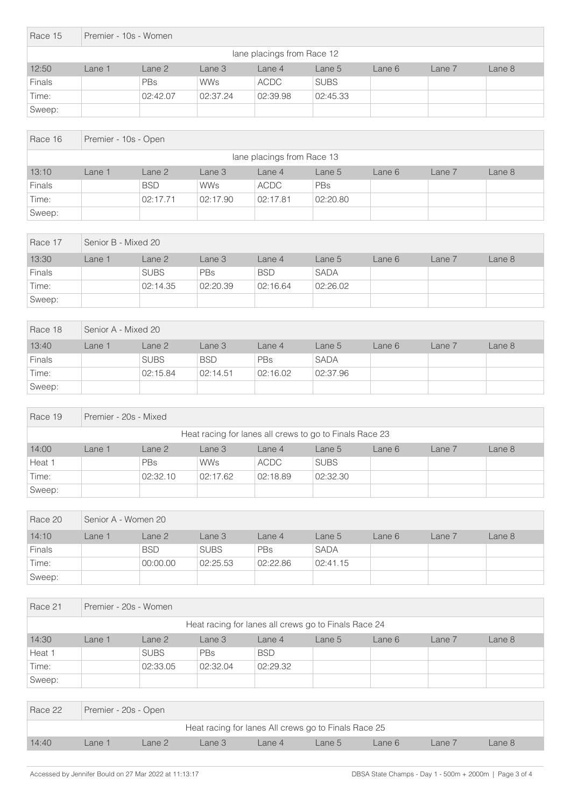| Race 15                    |        | Premier - 10s - Women |            |             |             |        |        |        |  |  |  |
|----------------------------|--------|-----------------------|------------|-------------|-------------|--------|--------|--------|--|--|--|
| lane placings from Race 12 |        |                       |            |             |             |        |        |        |  |  |  |
| 12:50                      | Lane 1 | Lane 2                | Lane 3     | Lane 4      | Lane 5      | Lane 6 | Lane 7 | Lane 8 |  |  |  |
| <b>Finals</b>              |        | <b>PBs</b>            | <b>WWs</b> | <b>ACDC</b> | <b>SUBS</b> |        |        |        |  |  |  |
| Time:                      |        | 02:42.07              | 02:37.24   | 02:39.98    | 02:45.33    |        |        |        |  |  |  |
| Sweep:                     |        |                       |            |             |             |        |        |        |  |  |  |

| Race 16                    |        | Premier - 10s - Open |            |             |          |        |        |        |  |  |  |
|----------------------------|--------|----------------------|------------|-------------|----------|--------|--------|--------|--|--|--|
| lane placings from Race 13 |        |                      |            |             |          |        |        |        |  |  |  |
| 13:10                      | Lane 1 | Lane 2               | Lane 3     | Lane 4      | Lane 5   | Lane 6 | Lane 7 | Lane 8 |  |  |  |
| <b>Finals</b>              |        | <b>BSD</b>           | <b>WWs</b> | <b>ACDC</b> | PBs      |        |        |        |  |  |  |
| Time:                      |        | 02:17.71             | 02:17.90   | 02:17.81    | 02:20.80 |        |        |        |  |  |  |
| Sweep:                     |        |                      |            |             |          |        |        |        |  |  |  |

| Race 17       | Senior B - Mixed 20 |             |            |            |             |       |        |        |
|---------------|---------------------|-------------|------------|------------|-------------|-------|--------|--------|
| 13:30         | Lane 1              | Lane 2      | Lane 3     | Lane 4     | Lane 5      | ane 6 | Lane 7 | Lane 8 |
| <b>Finals</b> |                     | <b>SUBS</b> | <b>PBs</b> | <b>BSD</b> | <b>SADA</b> |       |        |        |
| Time:         |                     | 02:14.35    | 02:20.39   | 02:16.64   | 02:26.02    |       |        |        |
| Sweep:        |                     |             |            |            |             |       |        |        |

| Race 18 | Senior A - Mixed 20 |             |            |          |             |        |        |        |  |
|---------|---------------------|-------------|------------|----------|-------------|--------|--------|--------|--|
| 13:40   | _ane 1              | Lane 2      | Lane 3     | Lane 4   | Lane 5      | Lane 6 | Lane 7 | Lane 8 |  |
| Finals  |                     | <b>SUBS</b> | <b>BSD</b> | PBs      | <b>SADA</b> |        |        |        |  |
| Time:   |                     | 02:15.84    | 02:14.51   | 02:16.02 | 02:37.96    |        |        |        |  |
| Sweep:  |                     |             |            |          |             |        |        |        |  |

| Race 19                                                 |        | Premier - 20s - Mixed |            |             |             |        |        |        |  |  |  |
|---------------------------------------------------------|--------|-----------------------|------------|-------------|-------------|--------|--------|--------|--|--|--|
| Heat racing for lanes all crews to go to Finals Race 23 |        |                       |            |             |             |        |        |        |  |  |  |
| 14:00                                                   | Lane 1 | Lane 2                | Lane 3     | Lane 4      | Lane 5      | Lane 6 | Lane 7 | Lane 8 |  |  |  |
| Heat 1                                                  |        | <b>PBs</b>            | <b>WWs</b> | <b>ACDC</b> | <b>SUBS</b> |        |        |        |  |  |  |
| Time:                                                   |        | 02:32.10              | 02:17.62   | 02:18.89    | 02:32.30    |        |        |        |  |  |  |
| Sweep:                                                  |        |                       |            |             |             |        |        |        |  |  |  |

| Race 20       | Senior A - Women 20 |            |             |          |             |        |            |        |  |
|---------------|---------------------|------------|-------------|----------|-------------|--------|------------|--------|--|
| 14:10         | Lane 1              | Lane 2     | Lane 3      | Lane 4   | Lane 5      | Lane 6 | $Lane$ $7$ | Lane 8 |  |
| <b>Finals</b> |                     | <b>BSD</b> | <b>SUBS</b> | PBs      | <b>SADA</b> |        |            |        |  |
| Time:         |                     | 00:00.00   | 02:25.53    | 02:22.86 | 02:41.15    |        |            |        |  |
| Sweep:        |                     |            |             |          |             |        |            |        |  |

| Race 21                                              |        | Premier - 20s - Women                                                |            |            |  |  |  |  |  |  |  |
|------------------------------------------------------|--------|----------------------------------------------------------------------|------------|------------|--|--|--|--|--|--|--|
| Heat racing for lanes all crews go to Finals Race 24 |        |                                                                      |            |            |  |  |  |  |  |  |  |
| 14:30                                                | Lane 1 | Lane 2<br>Lane 8<br>Lane 3<br>Lane $4$<br>Lane 7<br>Lane 5<br>Lane 6 |            |            |  |  |  |  |  |  |  |
| Heat 1                                               |        | <b>SUBS</b>                                                          | <b>PBs</b> | <b>BSD</b> |  |  |  |  |  |  |  |
| Time:                                                |        | 02:33.05                                                             | 02:32.04   | 02:29.32   |  |  |  |  |  |  |  |
| Sweep:                                               |        |                                                                      |            |            |  |  |  |  |  |  |  |

| Race 22 | Premier - 20s - Open |        |                                                      |              |        |       |        |        |
|---------|----------------------|--------|------------------------------------------------------|--------------|--------|-------|--------|--------|
|         |                      |        | Heat racing for lanes All crews go to Finals Race 25 |              |        |       |        |        |
| 14:40   | <sub>-</sub> ane 1   | Lane 2 | Lane 3                                               | $1$ ane $47$ | Lane 5 | ane 6 | Lane 7 | Lane 8 |